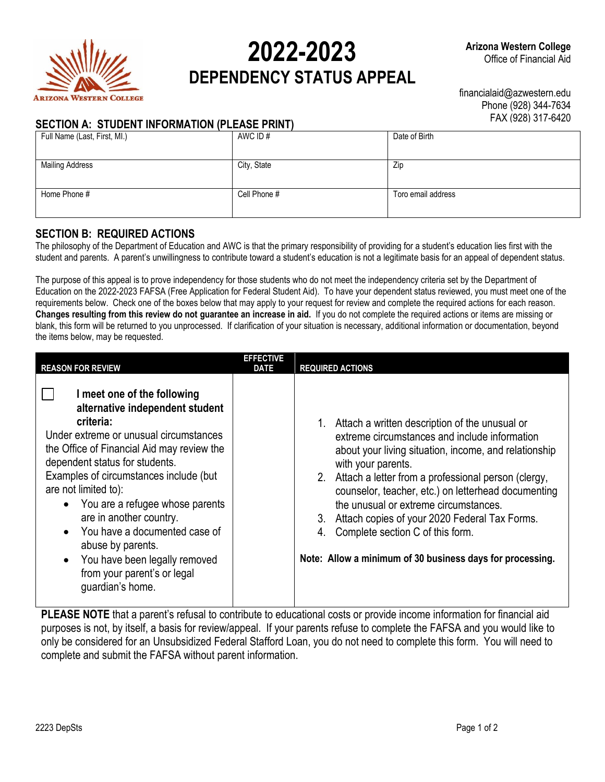

Full Name (Last, First, MI.)

**Mailing Address** 

# **2022-2023 DEPENDENCY STATUS APPEAL**

financialaid@azwestern.edu Phone (928) 344-7634

## **SECTION A: STUDENT**

| <b>INFORMATION (PLEASE PRINT)</b> | FAX (928) 317-6420 |               |  |
|-----------------------------------|--------------------|---------------|--|
|                                   | AWC ID#            | Date of Birth |  |
|                                   | City, State        | Zip           |  |

### **SECTION B: REQUIRED ACTIONS**

The philosophy of the Department of Education and AWC is that the primary responsibility of providing for a student's education lies first with the student and parents. A parent's unwillingness to contribute toward a student's education is not a legitimate basis for an appeal of dependent status.

Home Phone # Toro email address  $\begin{array}{c} \hline \text{Cell Phone } \# \end{array}$  Toro email address

The purpose of this appeal is to prove independency for those students who do not meet the independency criteria set by the Department of Education on the 2022-2023 FAFSA (Free Application for Federal Student Aid). To have your dependent status reviewed, you must meet one of the requirements below. Check one of the boxes below that may apply to your request for review and complete the required actions for each reason. **Changes resulting from this review do not guarantee an increase in aid.** If you do not complete the required actions or items are missing or blank, this form will be returned to you unprocessed. If clarification of your situation is necessary, additional information or documentation, beyond the items below, may be requested.

| <b>EFFECTIVE</b><br><b>REASON FOR REVIEW</b><br><b>DATE</b>                                                                                                                                                                                                                                                                                                                                                                                                                     | <b>REQUIRED ACTIONS</b>                                                                                                                                                                                                                                                                                                                                                                                                                                                                                   |
|---------------------------------------------------------------------------------------------------------------------------------------------------------------------------------------------------------------------------------------------------------------------------------------------------------------------------------------------------------------------------------------------------------------------------------------------------------------------------------|-----------------------------------------------------------------------------------------------------------------------------------------------------------------------------------------------------------------------------------------------------------------------------------------------------------------------------------------------------------------------------------------------------------------------------------------------------------------------------------------------------------|
| I meet one of the following<br>alternative independent student<br>criteria:<br>Under extreme or unusual circumstances<br>the Office of Financial Aid may review the<br>dependent status for students.<br>Examples of circumstances include (but<br>are not limited to):<br>You are a refugee whose parents<br>are in another country.<br>You have a documented case of<br>abuse by parents.<br>You have been legally removed<br>from your parent's or legal<br>guardian's home. | 1. Attach a written description of the unusual or<br>extreme circumstances and include information<br>about your living situation, income, and relationship<br>with your parents.<br>2. Attach a letter from a professional person (clergy,<br>counselor, teacher, etc.) on letterhead documenting<br>the unusual or extreme circumstances.<br>Attach copies of your 2020 Federal Tax Forms.<br>3.<br>Complete section C of this form.<br>4.<br>Note: Allow a minimum of 30 business days for processing. |

**PLEASE NOTE** that a parent's refusal to contribute to educational costs or provide income information for financial aid purposes is not, by itself, a basis for review/appeal. If your parents refuse to complete the FAFSA and you would like to only be considered for an Unsubsidized Federal Stafford Loan, you do not need to complete this form. You will need to complete and submit the FAFSA without parent information.